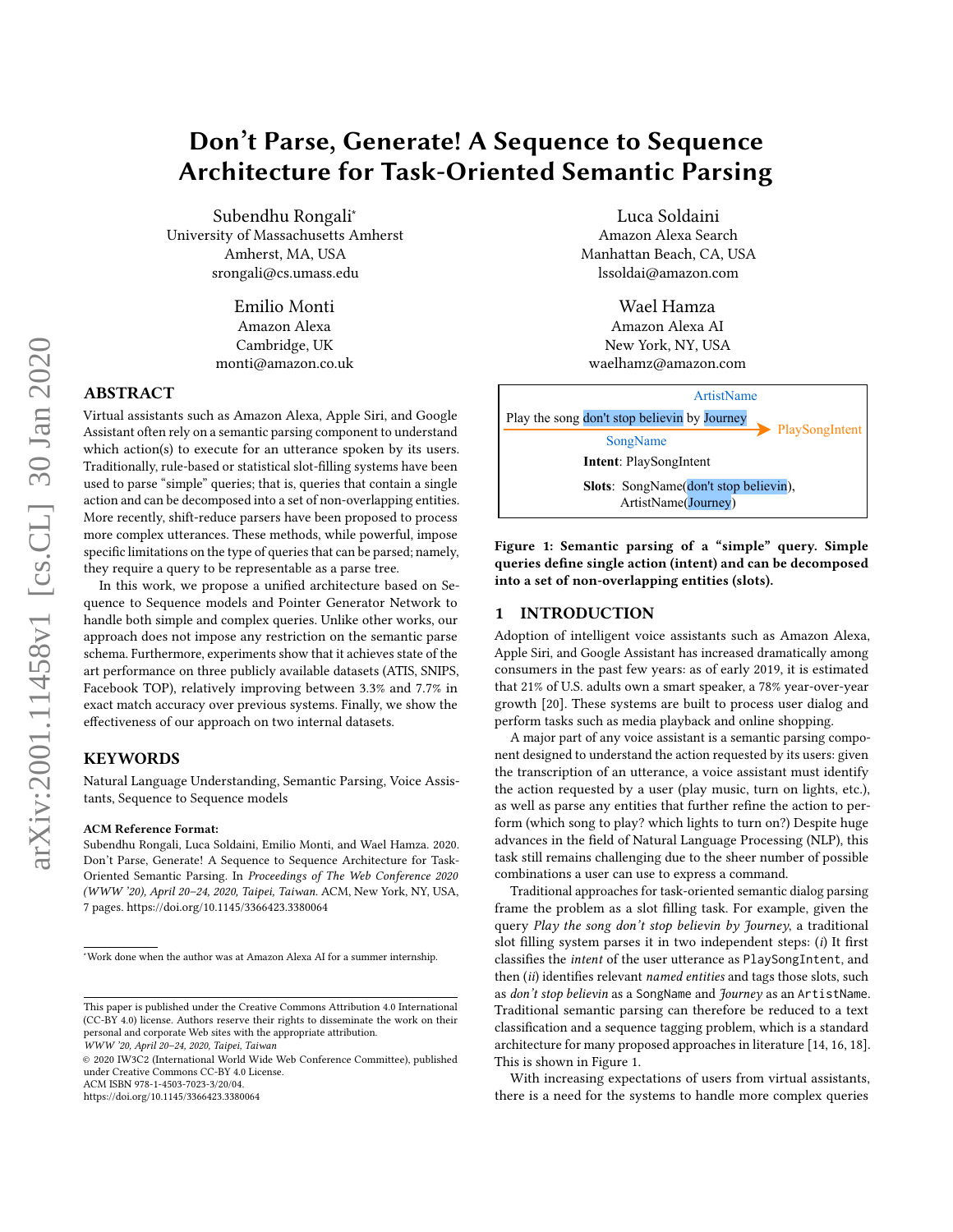# Don't Parse, Generate! A Sequence to Sequence Architecture for Task-Oriented Semantic Parsing

Subendhu Rongali<sup>∗</sup> University of Massachusetts Amherst Amherst, MA, USA srongali@cs.umass.edu

> Emilio Monti Amazon Alexa Cambridge, UK monti@amazon.co.uk

# ABSTRACT

Virtual assistants such as Amazon Alexa, Apple Siri, and Google Assistant often rely on a semantic parsing component to understand which action(s) to execute for an utterance spoken by its users. Traditionally, rule-based or statistical slot-filling systems have been used to parse "simple" queries; that is, queries that contain a single action and can be decomposed into a set of non-overlapping entities. More recently, shift-reduce parsers have been proposed to process more complex utterances. These methods, while powerful, impose specific limitations on the type of queries that can be parsed; namely, they require a query to be representable as a parse tree.

In this work, we propose a unified architecture based on Sequence to Sequence models and Pointer Generator Network to handle both simple and complex queries. Unlike other works, our approach does not impose any restriction on the semantic parse schema. Furthermore, experiments show that it achieves state of the art performance on three publicly available datasets (ATIS, SNIPS, Facebook TOP), relatively improving between 3.3% and 7.7% in exact match accuracy over previous systems. Finally, we show the effectiveness of our approach on two internal datasets.

# KEYWORDS

Natural Language Understanding, Semantic Parsing, Voice Assistants, Sequence to Sequence models

#### ACM Reference Format:

Subendhu Rongali, Luca Soldaini, Emilio Monti, and Wael Hamza. 2020. Don't Parse, Generate! A Sequence to Sequence Architecture for Task-Oriented Semantic Parsing. In Proceedings of The Web Conference 2020 (WWW '20), April 20–24, 2020, Taipei, Taiwan. ACM, New York, NY, USA, [7](#page-6-0) pages.<https://doi.org/10.1145/3366423.3380064>

© 2020 IW3C2 (International World Wide Web Conference Committee), published under Creative Commons CC-BY 4.0 License.

ACM ISBN 978-1-4503-7023-3/20/04.

<https://doi.org/10.1145/3366423.3380064>

Luca Soldaini Amazon Alexa Search Manhattan Beach, CA, USA lssoldai@amazon.com

Wael Hamza Amazon Alexa AI New York, NY, USA waelhamz@amazon.com

<span id="page-0-0"></span>

Figure 1: Semantic parsing of a "simple" query. Simple queries define single action (intent) and can be decomposed into a set of non-overlapping entities (slots).

## 1 INTRODUCTION

Adoption of intelligent voice assistants such as Amazon Alexa, Apple Siri, and Google Assistant has increased dramatically among consumers in the past few years: as of early 2019, it is estimated that 21% of U.S. adults own a smart speaker, a 78% year-over-year growth [\[20\]](#page-6-1). These systems are built to process user dialog and perform tasks such as media playback and online shopping.

A major part of any voice assistant is a semantic parsing component designed to understand the action requested by its users: given the transcription of an utterance, a voice assistant must identify the action requested by a user (play music, turn on lights, etc.), as well as parse any entities that further refine the action to perform (which song to play? which lights to turn on?) Despite huge advances in the field of Natural Language Processing (NLP), this task still remains challenging due to the sheer number of possible combinations a user can use to express a command.

Traditional approaches for task-oriented semantic dialog parsing frame the problem as a slot filling task. For example, given the query Play the song don't stop believin by Journey, a traditional slot filling system parses it in two independent steps: (i) It first classifies the intent of the user utterance as PlaySongIntent, and then (ii) identifies relevant named entities and tags those slots, such as don't stop believin as a SongName and Journey as an ArtistName. Traditional semantic parsing can therefore be reduced to a text classification and a sequence tagging problem, which is a standard architecture for many proposed approaches in literature [\[14,](#page-6-2) [16,](#page-6-3) [18\]](#page-6-4). This is shown in Figure [1.](#page-0-0)

With increasing expectations of users from virtual assistants, there is a need for the systems to handle more complex queries

<sup>∗</sup>Work done when the author was at Amazon Alexa AI for a summer internship.

This paper is published under the Creative Commons Attribution 4.0 International (CC-BY 4.0) license. Authors reserve their rights to disseminate the work on their personal and corporate Web sites with the appropriate attribution.

WWW '20, April 20–24, 2020, Taipei, Taiwan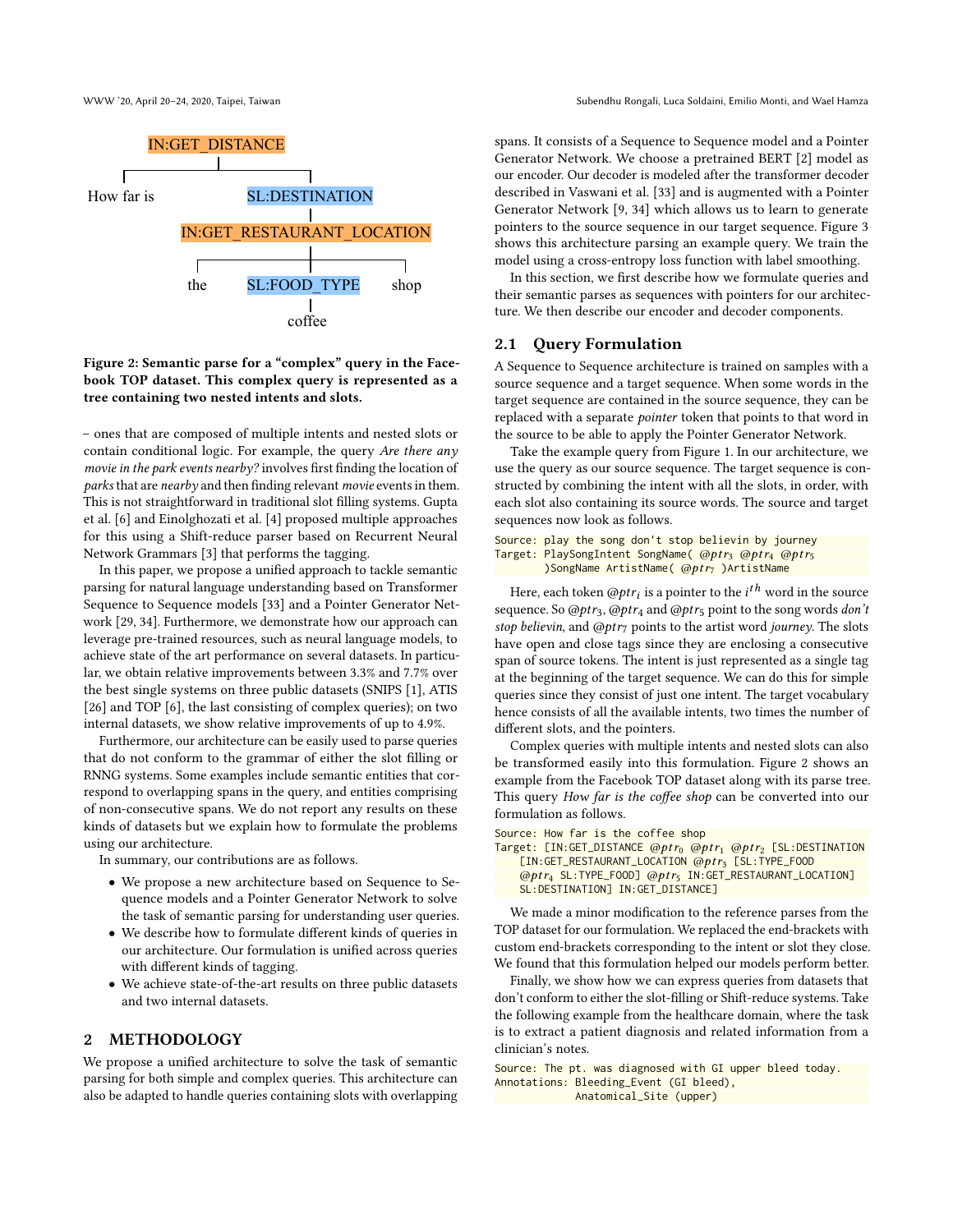<span id="page-1-0"></span>

Figure 2: Semantic parse for a "complex" query in the Facebook TOP dataset. This complex query is represented as a tree containing two nested intents and slots.

– ones that are composed of multiple intents and nested slots or contain conditional logic. For example, the query Are there any movie in the park events nearby? involves first finding the location of parks that are nearby and then finding relevant movie events in them. This is not straightforward in traditional slot filling systems. Gupta et al. [\[6\]](#page-6-5) and Einolghozati et al. [\[4\]](#page-6-6) proposed multiple approaches for this using a Shift-reduce parser based on Recurrent Neural Network Grammars [\[3\]](#page-6-7) that performs the tagging.

In this paper, we propose a unified approach to tackle semantic parsing for natural language understanding based on Transformer Sequence to Sequence models [\[33\]](#page-6-8) and a Pointer Generator Network [\[29,](#page-6-9) [34\]](#page-6-10). Furthermore, we demonstrate how our approach can leverage pre-trained resources, such as neural language models, to achieve state of the art performance on several datasets. In particular, we obtain relative improvements between 3.3% and 7.7% over the best single systems on three public datasets (SNIPS [\[1\]](#page-6-11), ATIS [\[26\]](#page-6-12) and TOP [\[6\]](#page-6-5), the last consisting of complex queries); on two internal datasets, we show relative improvements of up to 4.9%.

Furthermore, our architecture can be easily used to parse queries that do not conform to the grammar of either the slot filling or RNNG systems. Some examples include semantic entities that correspond to overlapping spans in the query, and entities comprising of non-consecutive spans. We do not report any results on these kinds of datasets but we explain how to formulate the problems using our architecture.

In summary, our contributions are as follows.

- We propose a new architecture based on Sequence to Sequence models and a Pointer Generator Network to solve the task of semantic parsing for understanding user queries.
- We describe how to formulate different kinds of queries in our architecture. Our formulation is unified across queries with different kinds of tagging.
- We achieve state-of-the-art results on three public datasets and two internal datasets.

# 2 METHODOLOGY

We propose a unified architecture to solve the task of semantic parsing for both simple and complex queries. This architecture can also be adapted to handle queries containing slots with overlapping

spans. It consists of a Sequence to Sequence model and a Pointer Generator Network. We choose a pretrained BERT [\[2\]](#page-6-13) model as our encoder. Our decoder is modeled after the transformer decoder described in Vaswani et al. [\[33\]](#page-6-8) and is augmented with a Pointer Generator Network [\[9,](#page-6-14) [34\]](#page-6-10) which allows us to learn to generate pointers to the source sequence in our target sequence. Figure [3](#page-2-0) shows this architecture parsing an example query. We train the model using a cross-entropy loss function with label smoothing.

In this section, we first describe how we formulate queries and their semantic parses as sequences with pointers for our architecture. We then describe our encoder and decoder components.

# 2.1 Query Formulation

A Sequence to Sequence architecture is trained on samples with a source sequence and a target sequence. When some words in the target sequence are contained in the source sequence, they can be replaced with a separate pointer token that points to that word in the source to be able to apply the Pointer Generator Network.

Take the example query from Figure [1.](#page-0-0) In our architecture, we use the query as our source sequence. The target sequence is constructed by combining the intent with all the slots, in order, with each slot also containing its source words. The source and target sequences now look as follows.

```
Source: play the song don't stop believin by journey
Target: PlaySongIntent SongName( @ptr<sub>3</sub> @ptr<sub>4</sub> @ptr<sub>5</sub>
         )SongName ArtistName(@ptr_7)ArtistName
```
Here, each token  $@ptr_i$  is a pointer to the  $i<sup>th</sup>$  word in the source<br>wence So @ptre\_@ptre and @ptre point to the song words don't sequence. So @ptr<sub>3</sub>, @ptr<sub>4</sub> and @ptr<sub>5</sub> point to the song words don't stop believin, and  $@ptr_7$  points to the artist word journey. The slots have open and close tags since they are enclosing a consecutive span of source tokens. The intent is just represented as a single tag at the beginning of the target sequence. We can do this for simple queries since they consist of just one intent. The target vocabulary hence consists of all the available intents, two times the number of different slots, and the pointers.

Complex queries with multiple intents and nested slots can also be transformed easily into this formulation. Figure [2](#page-1-0) shows an example from the Facebook TOP dataset along with its parse tree. This query How far is the coffee shop can be converted into our formulation as follows.

Source: How far is the coffee shop

```
Target: [IN:GET_DISTANCE @ptr<sub>0</sub> @ptr<sub>1</sub> @ptr<sub>2</sub> [SL:DESTINATION
     [IN:GET_RESTAURANT_LOCATION @ptr3 [SL:TYPE_FOOD
    @pt r4 SL:TYPE_FOOD] @pt r5 IN:GET_RESTAURANT_LOCATION]
    SL:DESTINATION] IN:GET_DISTANCE]
```
We made a minor modification to the reference parses from the TOP dataset for our formulation. We replaced the end-brackets with custom end-brackets corresponding to the intent or slot they close. We found that this formulation helped our models perform better.

Finally, we show how we can express queries from datasets that don't conform to either the slot-filling or Shift-reduce systems. Take the following example from the healthcare domain, where the task is to extract a patient diagnosis and related information from a clinician's notes.

Source: The pt. was diagnosed with GI upper bleed today. Annotations: Bleeding\_Event (GI bleed), Anatomical\_Site (upper)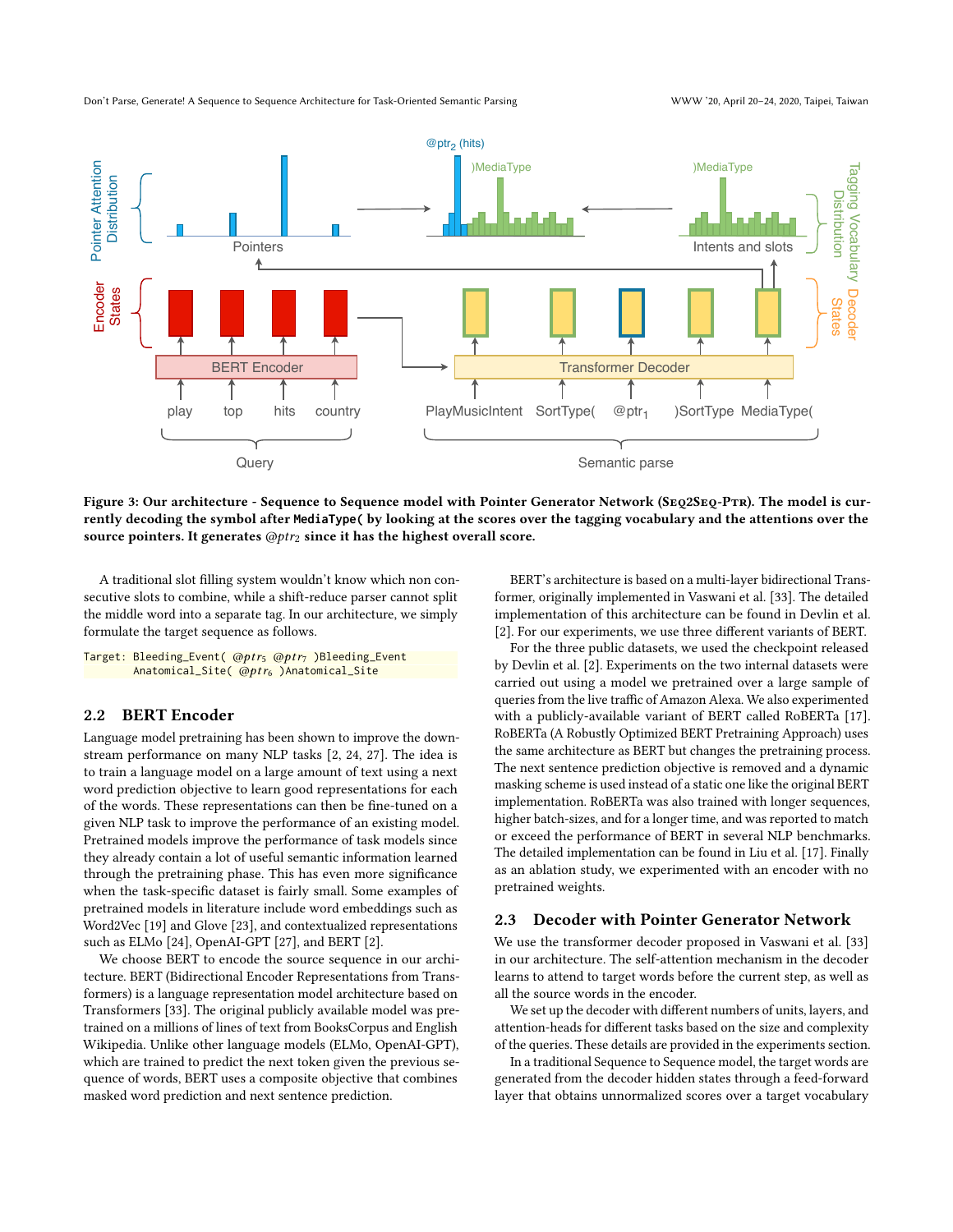<span id="page-2-0"></span>

Figure 3: Our architecture - Sequence to Sequence model with Pointer Generator Network (SEQ2SEQ-PTR). The model is currently decoding the symbol after **MediaType(** by looking at the scores over the tagging vocabulary and the attentions over the source pointers. It generates  $@ptr_2$  since it has the highest overall score.

A traditional slot filling system wouldn't know which non consecutive slots to combine, while a shift-reduce parser cannot split the middle word into a separate tag. In our architecture, we simply formulate the target sequence as follows.

Target: Bleeding\_Event( @ptr<sub>5</sub> @ptr<sub>7</sub> )Bleeding\_Event Anatomical\_Site( @ptr<sub>6</sub> )Anatomical\_Site

#### 2.2 BERT Encoder

Language model pretraining has been shown to improve the downstream performance on many NLP tasks [\[2,](#page-6-13) [24,](#page-6-15) [27\]](#page-6-16). The idea is to train a language model on a large amount of text using a next word prediction objective to learn good representations for each of the words. These representations can then be fine-tuned on a given NLP task to improve the performance of an existing model. Pretrained models improve the performance of task models since they already contain a lot of useful semantic information learned through the pretraining phase. This has even more significance when the task-specific dataset is fairly small. Some examples of pretrained models in literature include word embeddings such as Word2Vec [\[19\]](#page-6-17) and Glove [\[23\]](#page-6-18), and contextualized representations such as ELMo [\[24\]](#page-6-15), OpenAI-GPT [\[27\]](#page-6-16), and BERT [\[2\]](#page-6-13).

We choose BERT to encode the source sequence in our architecture. BERT (Bidirectional Encoder Representations from Transformers) is a language representation model architecture based on Transformers [\[33\]](#page-6-8). The original publicly available model was pretrained on a millions of lines of text from BooksCorpus and English Wikipedia. Unlike other language models (ELMo, OpenAI-GPT), which are trained to predict the next token given the previous sequence of words, BERT uses a composite objective that combines masked word prediction and next sentence prediction.

BERT's architecture is based on a multi-layer bidirectional Transformer, originally implemented in Vaswani et al. [\[33\]](#page-6-8). The detailed implementation of this architecture can be found in Devlin et al. [\[2\]](#page-6-13). For our experiments, we use three different variants of BERT.

For the three public datasets, we used the checkpoint released by Devlin et al. [\[2\]](#page-6-13). Experiments on the two internal datasets were carried out using a model we pretrained over a large sample of queries from the live traffic of Amazon Alexa. We also experimented with a publicly-available variant of BERT called RoBERTa [\[17\]](#page-6-19). RoBERTa (A Robustly Optimized BERT Pretraining Approach) uses the same architecture as BERT but changes the pretraining process. The next sentence prediction objective is removed and a dynamic masking scheme is used instead of a static one like the original BERT implementation. RoBERTa was also trained with longer sequences, higher batch-sizes, and for a longer time, and was reported to match or exceed the performance of BERT in several NLP benchmarks. The detailed implementation can be found in Liu et al. [\[17\]](#page-6-19). Finally as an ablation study, we experimented with an encoder with no pretrained weights.

#### 2.3 Decoder with Pointer Generator Network

We use the transformer decoder proposed in Vaswani et al. [\[33\]](#page-6-8) in our architecture. The self-attention mechanism in the decoder learns to attend to target words before the current step, as well as all the source words in the encoder.

We set up the decoder with different numbers of units, layers, and attention-heads for different tasks based on the size and complexity of the queries. These details are provided in the experiments section.

In a traditional Sequence to Sequence model, the target words are generated from the decoder hidden states through a feed-forward layer that obtains unnormalized scores over a target vocabulary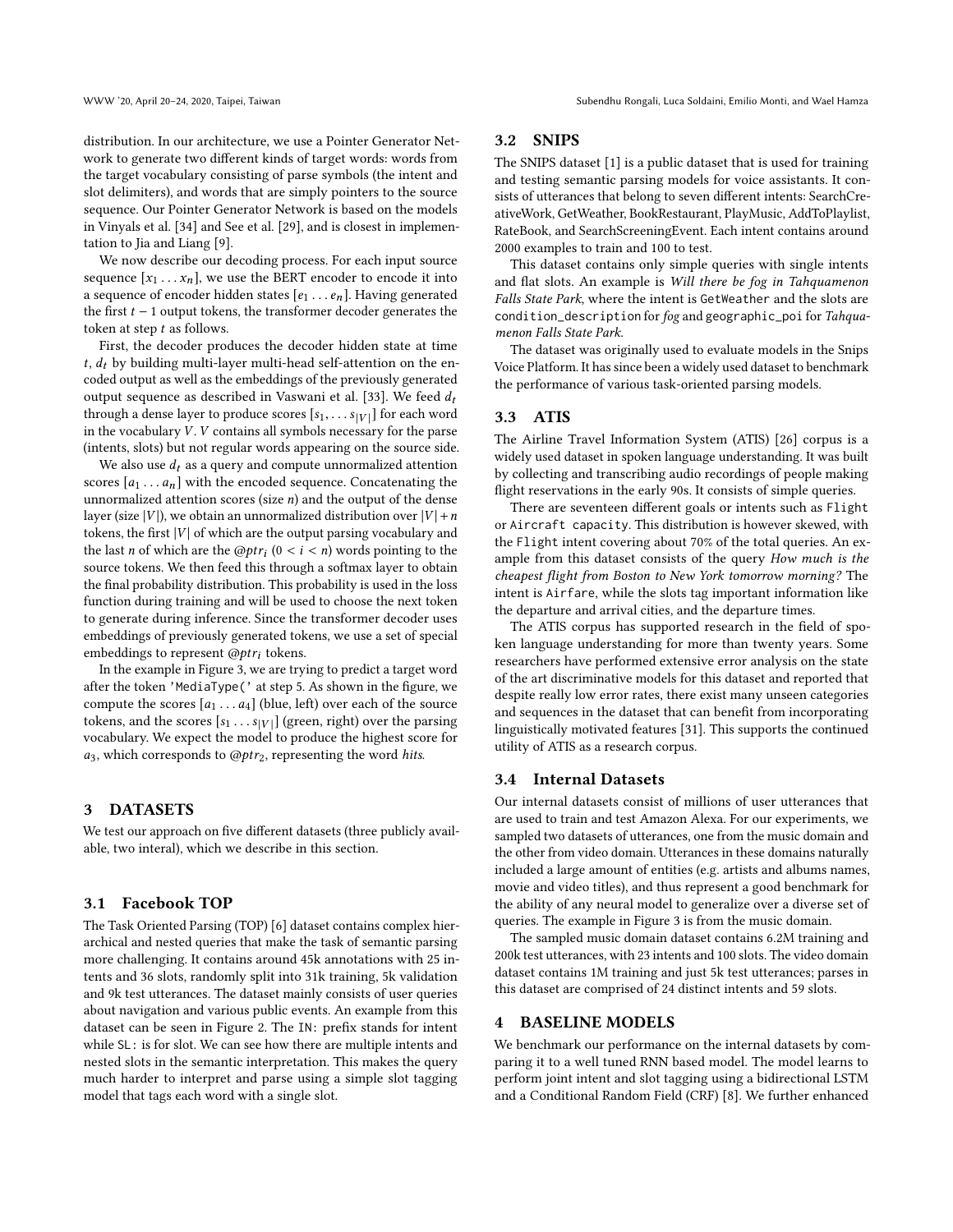distribution. In our architecture, we use a Pointer Generator Network to generate two different kinds of target words: words from the target vocabulary consisting of parse symbols (the intent and slot delimiters), and words that are simply pointers to the source sequence. Our Pointer Generator Network is based on the models in Vinyals et al. [\[34\]](#page-6-10) and See et al. [\[29\]](#page-6-9), and is closest in implementation to Jia and Liang [\[9\]](#page-6-14).

We now describe our decoding process. For each input source sequence  $[x_1 \ldots x_n]$ , we use the BERT encoder to encode it into a sequence of encoder hidden states  $[e_1 \dots e_n]$ . Having generated the first  $t - 1$  output tokens, the transformer decoder generates the token at step t as follows.

First, the decoder produces the decoder hidden state at time  $t, d_t$  by building multi-layer multi-head self-attention on the encoded output as well as the embeddings of the previously generated output sequence as described in Vaswani et al. [\[33\]](#page-6-8). We feed  $d_t$ through a dense layer to produce scores  $[s_1, \ldots s_{|V|}]$  for each word<br>in the vocabulary V, V contains all symbols necessary for the parse in the vocabulary  $V$ .  $V$  contains all symbols necessary for the parse (intents, slots) but not regular words appearing on the source side.

We also use  $d_t$  as a query and compute unnormalized attention scores  $[a_1 \ldots a_n]$  with the encoded sequence. Concatenating the unnormalized attention scores (size  $n$ ) and the output of the dense layer (size |V|), we obtain an unnormalized distribution over  $|V| + n$ tokens, the first  $|V|$  of which are the output parsing vocabulary and the last *n* of which are the  $@ptr_i(0 < i < n)$  words pointing to the source tokens. We then feed this through a softmax layer to obtain source tokens. We then feed this through a softmax layer to obtain the final probability distribution. This probability is used in the loss function during training and will be used to choose the next token to generate during inference. Since the transformer decoder uses embeddings of previously generated tokens, we use a set of special embeddings to represent  $@ptr_i$  tokens.

In the example in Figure [3,](#page-2-0) we are trying to predict a target word after the token 'MediaType(' at step 5. As shown in the figure, we compute the scores  $[a_1 \dots a_4]$  (blue, left) over each of the source tokens, and the scores  $[s_1 \dots s_{|V|}]$  (green, right) over the parsing<br>vocabulary. We expect the model to produce the highest score for vocabulary. We expect the model to produce the highest score for  $a_3$ , which corresponds to  $@ptr_2$ , representing the word hits.

#### 3 DATASETS

We test our approach on five different datasets (three publicly available, two interal), which we describe in this section.

#### 3.1 Facebook TOP

The Task Oriented Parsing (TOP) [\[6\]](#page-6-5) dataset contains complex hierarchical and nested queries that make the task of semantic parsing more challenging. It contains around 45k annotations with 25 intents and 36 slots, randomly split into 31k training, 5k validation and 9k test utterances. The dataset mainly consists of user queries about navigation and various public events. An example from this dataset can be seen in Figure [2.](#page-1-0) The IN: prefix stands for intent while SL: is for slot. We can see how there are multiple intents and nested slots in the semantic interpretation. This makes the query much harder to interpret and parse using a simple slot tagging model that tags each word with a single slot.

# 3.2 SNIPS

The SNIPS dataset [\[1\]](#page-6-11) is a public dataset that is used for training and testing semantic parsing models for voice assistants. It consists of utterances that belong to seven different intents: SearchCreativeWork, GetWeather, BookRestaurant, PlayMusic, AddToPlaylist, RateBook, and SearchScreeningEvent. Each intent contains around 2000 examples to train and 100 to test.

This dataset contains only simple queries with single intents and flat slots. An example is Will there be fog in Tahquamenon Falls State Park, where the intent is GetWeather and the slots are condition\_description for fog and geographic\_poi for Tahquamenon Falls State Park.

The dataset was originally used to evaluate models in the Snips Voice Platform. It has since been a widely used dataset to benchmark the performance of various task-oriented parsing models.

#### 3.3 ATIS

The Airline Travel Information System (ATIS) [\[26\]](#page-6-12) corpus is a widely used dataset in spoken language understanding. It was built by collecting and transcribing audio recordings of people making flight reservations in the early 90s. It consists of simple queries.

There are seventeen different goals or intents such as Flight or Aircraft capacity. This distribution is however skewed, with the Flight intent covering about 70% of the total queries. An example from this dataset consists of the query How much is the cheapest flight from Boston to New York tomorrow morning? The intent is Airfare, while the slots tag important information like the departure and arrival cities, and the departure times.

The ATIS corpus has supported research in the field of spoken language understanding for more than twenty years. Some researchers have performed extensive error analysis on the state of the art discriminative models for this dataset and reported that despite really low error rates, there exist many unseen categories and sequences in the dataset that can benefit from incorporating linguistically motivated features [\[31\]](#page-6-20). This supports the continued utility of ATIS as a research corpus.

#### <span id="page-3-0"></span>3.4 Internal Datasets

Our internal datasets consist of millions of user utterances that are used to train and test Amazon Alexa. For our experiments, we sampled two datasets of utterances, one from the music domain and the other from video domain. Utterances in these domains naturally included a large amount of entities (e.g. artists and albums names, movie and video titles), and thus represent a good benchmark for the ability of any neural model to generalize over a diverse set of queries. The example in Figure [3](#page-2-0) is from the music domain.

The sampled music domain dataset contains 6.2M training and 200k test utterances, with 23 intents and 100 slots. The video domain dataset contains 1M training and just 5k test utterances; parses in this dataset are comprised of 24 distinct intents and 59 slots.

## **BASELINE MODELS**

We benchmark our performance on the internal datasets by comparing it to a well tuned RNN based model. The model learns to perform joint intent and slot tagging using a bidirectional LSTM and a Conditional Random Field (CRF) [\[8\]](#page-6-21). We further enhanced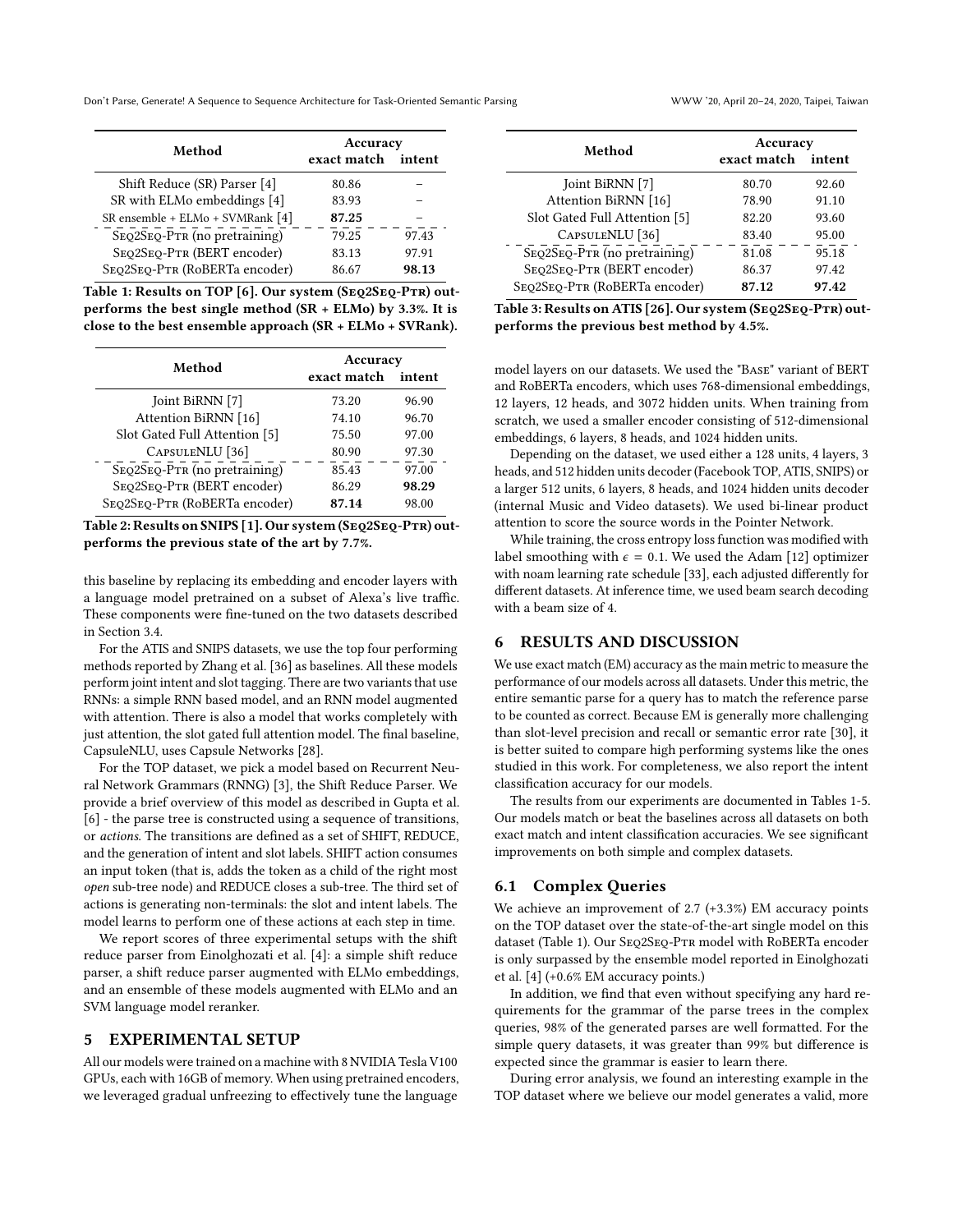Don't Parse, Generate! A Sequence to Sequence Architecture for Task-Oriented Semantic Parsing WWW '20, April 20–24, 2020, Taipei, Taiwan

<span id="page-4-0"></span>

| Method                           | Accuracy    |        |
|----------------------------------|-------------|--------|
|                                  | exact match | intent |
| Shift Reduce (SR) Parser [4]     | 80.86       |        |
| SR with ELMo embeddings [4]      | 83.93       |        |
| SR ensemble + ELMo + SVMRank [4] | 87.25       |        |
| SEQ2SEQ-PTR (no pretraining)     | 79.25       | 97.43  |
| SEO2SEO-PTR (BERT encoder)       | 83.13       | 97.91  |
| SEQ2SEQ-PTR (RoBERTa encoder)    | 86.67       | 98.13  |

Table 1: Results on TOP [\[6\]](#page-6-5). Our system (Seq2Seq-Ptr) outperforms the best single method (SR + ELMo) by 3.3%. It is close to the best ensemble approach (SR + ELMo + SVRank).

<span id="page-4-1"></span>

| Method                        | Accuracy    |        |
|-------------------------------|-------------|--------|
|                               | exact match | intent |
| Joint BiRNN [7]               | 73.20       | 96.90  |
| Attention BiRNN [16]          | 74.10       | 96.70  |
| Slot Gated Full Attention [5] | 75.50       | 97.00  |
| CAPSULENLU <sup>[36]</sup>    | 80.90       | 97.30  |
| SEQ2SEQ-PTR (no pretraining)  | 85.43       | 97.00  |
| SEQ2SEQ-PTR (BERT encoder)    | 86.29       | 98.29  |
| SEQ2SEQ-PTR (RoBERTa encoder) | 87.14       | 98.00  |

Table 2: Results on SNIPS [\[1\]](#page-6-11). Our system (SEQ2SEQ-PTR) outperforms the previous state of the art by 7.7%.

this baseline by replacing its embedding and encoder layers with a language model pretrained on a subset of Alexa's live traffic. These components were fine-tuned on the two datasets described in Section [3.4.](#page-3-0)

For the ATIS and SNIPS datasets, we use the top four performing methods reported by Zhang et al. [\[36\]](#page-6-24) as baselines. All these models perform joint intent and slot tagging. There are two variants that use RNNs: a simple RNN based model, and an RNN model augmented with attention. There is also a model that works completely with just attention, the slot gated full attention model. The final baseline, CapsuleNLU, uses Capsule Networks [\[28\]](#page-6-25).

For the TOP dataset, we pick a model based on Recurrent Neural Network Grammars (RNNG) [\[3\]](#page-6-7), the Shift Reduce Parser. We provide a brief overview of this model as described in Gupta et al. [\[6\]](#page-6-5) - the parse tree is constructed using a sequence of transitions, or actions. The transitions are defined as a set of SHIFT, REDUCE, and the generation of intent and slot labels. SHIFT action consumes an input token (that is, adds the token as a child of the right most open sub-tree node) and REDUCE closes a sub-tree. The third set of actions is generating non-terminals: the slot and intent labels. The model learns to perform one of these actions at each step in time.

We report scores of three experimental setups with the shift reduce parser from Einolghozati et al. [\[4\]](#page-6-6): a simple shift reduce parser, a shift reduce parser augmented with ELMo embeddings, and an ensemble of these models augmented with ELMo and an SVM language model reranker.

# 5 EXPERIMENTAL SETUP

All our models were trained on a machine with 8 NVIDIA Tesla V100 GPUs, each with 16GB of memory. When using pretrained encoders, we leveraged gradual unfreezing to effectively tune the language

<span id="page-4-2"></span>

| Method                        | Accuracy    |        |
|-------------------------------|-------------|--------|
|                               | exact match | intent |
| Joint BiRNN [7]               | 80.70       | 92.60  |
| Attention BiRNN [16]          | 78.90       | 91.10  |
| Slot Gated Full Attention [5] | 82.20       | 93.60  |
| CAPSULENLU <sup>[36]</sup>    | 83.40       | 95.00  |
| SEQ2SEQ-PTR (no pretraining)  | 81.08       | 95.18  |
| SEO2SEO-PTR (BERT encoder)    | 86.37       | 97.42  |
| SEQ2SEQ-PTR (RoBERTa encoder) | 87.12       | 97.42  |

Table 3: Results on ATIS [\[26\]](#page-6-12). Our system (SEQ2SEQ-PTR) outperforms the previous best method by 4.5%.

model layers on our datasets. We used the "Base" variant of BERT and RoBERTa encoders, which uses 768-dimensional embeddings, 12 layers, 12 heads, and 3072 hidden units. When training from scratch, we used a smaller encoder consisting of 512-dimensional embeddings, 6 layers, 8 heads, and 1024 hidden units.

Depending on the dataset, we used either a 128 units, 4 layers, 3 heads, and 512 hidden units decoder (Facebook TOP, ATIS, SNIPS) or a larger 512 units, 6 layers, 8 heads, and 1024 hidden units decoder (internal Music and Video datasets). We used bi-linear product attention to score the source words in the Pointer Network.

While training, the cross entropy loss function was modified with label smoothing with  $\epsilon = 0.1$ . We used the Adam [\[12\]](#page-6-26) optimizer with noam learning rate schedule [\[33\]](#page-6-8), each adjusted differently for different datasets. At inference time, we used beam search decoding with a beam size of 4.

# 6 RESULTS AND DISCUSSION

We use exact match (EM) accuracy as the main metric to measure the performance of our models across all datasets. Under this metric, the entire semantic parse for a query has to match the reference parse to be counted as correct. Because EM is generally more challenging than slot-level precision and recall or semantic error rate [\[30\]](#page-6-27), it is better suited to compare high performing systems like the ones studied in this work. For completeness, we also report the intent classification accuracy for our models.

The results from our experiments are documented in Tables [1-](#page-4-0)[5.](#page-5-0) Our models match or beat the baselines across all datasets on both exact match and intent classification accuracies. We see significant improvements on both simple and complex datasets.

#### 6.1 Complex Queries

We achieve an improvement of 2.7 (+3.3%) EM accuracy points on the TOP dataset over the state-of-the-art single model on this dataset (Table [1\)](#page-4-0). Our Seq2Seq-Ptr model with RoBERTa encoder is only surpassed by the ensemble model reported in Einolghozati et al. [\[4\]](#page-6-6) (+0.6% EM accuracy points.)

In addition, we find that even without specifying any hard requirements for the grammar of the parse trees in the complex queries, 98% of the generated parses are well formatted. For the simple query datasets, it was greater than 99% but difference is expected since the grammar is easier to learn there.

During error analysis, we found an interesting example in the TOP dataset where we believe our model generates a valid, more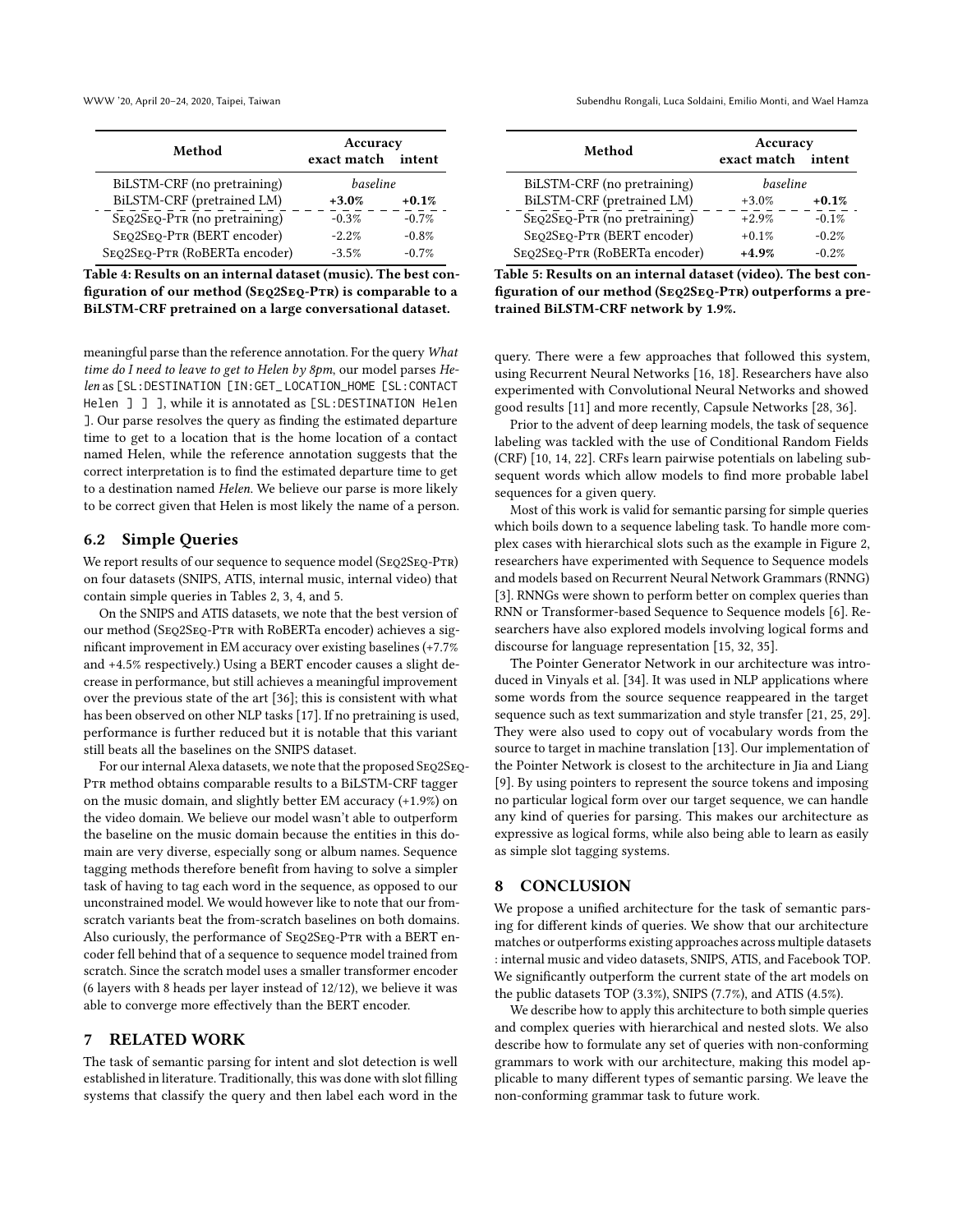<span id="page-5-1"></span>

| Method                        | Accuracy<br>exact match | intent  |
|-------------------------------|-------------------------|---------|
| BiLSTM-CRF (no pretraining)   | baseline                |         |
| BiLSTM-CRF (pretrained LM)    | $+3.0%$                 | $+0.1%$ |
| SEQ2SEQ-PTR (no pretraining)  | $-0.3%$                 | $-0.7%$ |
| SEQ2SEQ-PTR (BERT encoder)    | $-2.2\%$                | $-0.8%$ |
| SEQ2SEQ-PTR (RoBERTa encoder) | $-3.5%$                 | $-0.7%$ |

Table 4: Results on an internal dataset (music). The best configuration of our method (SEQ2SEQ-PTR) is comparable to a BiLSTM-CRF pretrained on a large conversational dataset.

meaningful parse than the reference annotation. For the query What time do I need to leave to get to Helen by 8pm, our model parses Helen as [SL:DESTINATION [IN:GET\_ LOCATION\_HOME [SL:CONTACT Helen  $\exists$   $\exists$   $\exists$ , while it is annotated as [SL:DESTINATION Helen ]. Our parse resolves the query as finding the estimated departure time to get to a location that is the home location of a contact named Helen, while the reference annotation suggests that the correct interpretation is to find the estimated departure time to get to a destination named Helen. We believe our parse is more likely to be correct given that Helen is most likely the name of a person.

# 6.2 Simple Queries

We report results of our sequence to sequence model (SEQ2SEQ-PTR) on four datasets (SNIPS, ATIS, internal music, internal video) that contain simple queries in Tables [2,](#page-4-1) [3,](#page-4-2) [4,](#page-5-1) and [5.](#page-5-0)

On the SNIPS and ATIS datasets, we note that the best version of our method (Seq2Seq-Ptr with RoBERTa encoder) achieves a significant improvement in EM accuracy over existing baselines (+7.7% and +4.5% respectively.) Using a BERT encoder causes a slight decrease in performance, but still achieves a meaningful improvement over the previous state of the art [\[36\]](#page-6-24); this is consistent with what has been observed on other NLP tasks [\[17\]](#page-6-19). If no pretraining is used, performance is further reduced but it is notable that this variant still beats all the baselines on the SNIPS dataset.

For our internal Alexa datasets, we note that the proposed SEQ2SEQ-PTR method obtains comparable results to a BiLSTM-CRF tagger on the music domain, and slightly better EM accuracy (+1.9%) on the video domain. We believe our model wasn't able to outperform the baseline on the music domain because the entities in this domain are very diverse, especially song or album names. Sequence tagging methods therefore benefit from having to solve a simpler task of having to tag each word in the sequence, as opposed to our unconstrained model. We would however like to note that our fromscratch variants beat the from-scratch baselines on both domains. Also curiously, the performance of SEQ2SEQ-PTR with a BERT encoder fell behind that of a sequence to sequence model trained from scratch. Since the scratch model uses a smaller transformer encoder (6 layers with 8 heads per layer instead of 12/12), we believe it was able to converge more effectively than the BERT encoder.

## 7 RELATED WORK

The task of semantic parsing for intent and slot detection is well established in literature. Traditionally, this was done with slot filling systems that classify the query and then label each word in the

WWW '20, April 20–24, 2020, Taipei, Taiwan Subendhu Rongali, Luca Soldaini, Emilio Monti, and Wael Hamza

<span id="page-5-0"></span>

| Method                        | Accuracy    |         |
|-------------------------------|-------------|---------|
|                               | exact match | intent  |
| BiLSTM-CRF (no pretraining)   | baseline    |         |
| BiLSTM-CRF (pretrained LM)    | $+3.0%$     | $+0.1%$ |
| SEQ2SEQ-PTR (no pretraining)  | $+2.9%$     | $-0.1%$ |
| SEQ2SEQ-PTR (BERT encoder)    | $+0.1%$     | $-0.2%$ |
| SEQ2SEQ-PTR (RoBERTa encoder) | $+4.9%$     | $-0.2%$ |

Table 5: Results on an internal dataset (video). The best configuration of our method (SEQ2SEQ-PTR) outperforms a pretrained BiLSTM-CRF network by 1.9%.

query. There were a few approaches that followed this system, using Recurrent Neural Networks [\[16,](#page-6-3) [18\]](#page-6-4). Researchers have also experimented with Convolutional Neural Networks and showed good results [\[11\]](#page-6-28) and more recently, Capsule Networks [\[28,](#page-6-25) [36\]](#page-6-24).

Prior to the advent of deep learning models, the task of sequence labeling was tackled with the use of Conditional Random Fields (CRF) [\[10,](#page-6-29) [14,](#page-6-2) [22\]](#page-6-30). CRFs learn pairwise potentials on labeling subsequent words which allow models to find more probable label sequences for a given query.

Most of this work is valid for semantic parsing for simple queries which boils down to a sequence labeling task. To handle more complex cases with hierarchical slots such as the example in Figure [2,](#page-1-0) researchers have experimented with Sequence to Sequence models and models based on Recurrent Neural Network Grammars (RNNG) [\[3\]](#page-6-7). RNNGs were shown to perform better on complex queries than RNN or Transformer-based Sequence to Sequence models [\[6\]](#page-6-5). Researchers have also explored models involving logical forms and discourse for language representation [\[15,](#page-6-31) [32,](#page-6-32) [35\]](#page-6-33).

The Pointer Generator Network in our architecture was introduced in Vinyals et al. [\[34\]](#page-6-10). It was used in NLP applications where some words from the source sequence reappeared in the target sequence such as text summarization and style transfer [\[21,](#page-6-34) [25,](#page-6-35) [29\]](#page-6-9). They were also used to copy out of vocabulary words from the source to target in machine translation [\[13\]](#page-6-36). Our implementation of the Pointer Network is closest to the architecture in Jia and Liang [\[9\]](#page-6-14). By using pointers to represent the source tokens and imposing no particular logical form over our target sequence, we can handle any kind of queries for parsing. This makes our architecture as expressive as logical forms, while also being able to learn as easily as simple slot tagging systems.

## 8 CONCLUSION

We propose a unified architecture for the task of semantic parsing for different kinds of queries. We show that our architecture matches or outperforms existing approaches across multiple datasets : internal music and video datasets, SNIPS, ATIS, and Facebook TOP. We significantly outperform the current state of the art models on the public datasets TOP (3.3%), SNIPS (7.7%), and ATIS (4.5%).

We describe how to apply this architecture to both simple queries and complex queries with hierarchical and nested slots. We also describe how to formulate any set of queries with non-conforming grammars to work with our architecture, making this model applicable to many different types of semantic parsing. We leave the non-conforming grammar task to future work.